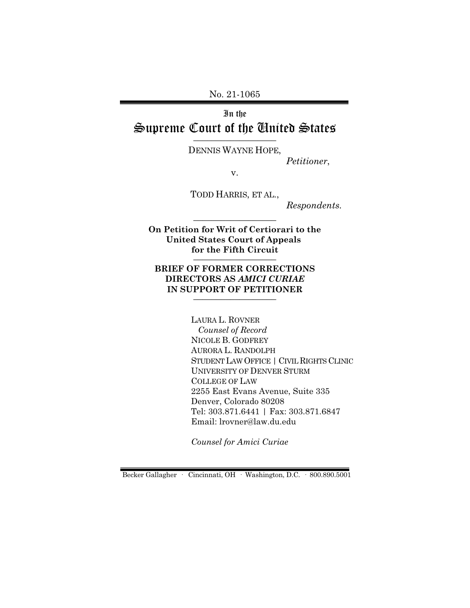No. 21-1065

## In the Supreme Court of the United States  $\overline{\phantom{a}}$  , where  $\overline{\phantom{a}}$

DENNIS WAYNE HOPE,

*Petitioner*,

v.

TODD HARRIS, ET AL.,

*Respondents.*

**On Petition for Writ of Certiorari to the United States Court of Appeals for the Fifth Circuit**  $\frac{1}{2}$ 

\_\_\_\_\_\_\_\_\_\_\_\_\_\_\_\_\_\_

#### **BRIEF OF FORMER CORRECTIONS DIRECTORS AS** *AMICI CURIAE* **IN SUPPORT OF PETITIONER** \_\_\_\_\_\_\_\_\_\_\_\_\_\_\_\_\_\_

LAURA L. ROVNER *Counsel of Record* NICOLE B. GODFREY AURORA L. RANDOLPH STUDENT LAW OFFICE | CIVIL RIGHTS CLINIC UNIVERSITY OF DENVER STURM COLLEGE OF LAW 2255 East Evans Avenue, Suite 335 Denver, Colorado 80208 Tel: 303.871.6441 | Fax: 303.871.6847 Email: lrovner@law.du.edu

*Counsel for Amici Curiae* 

Becker Gallagher · Cincinnati, OH · Washington, D.C. · 800.890.5001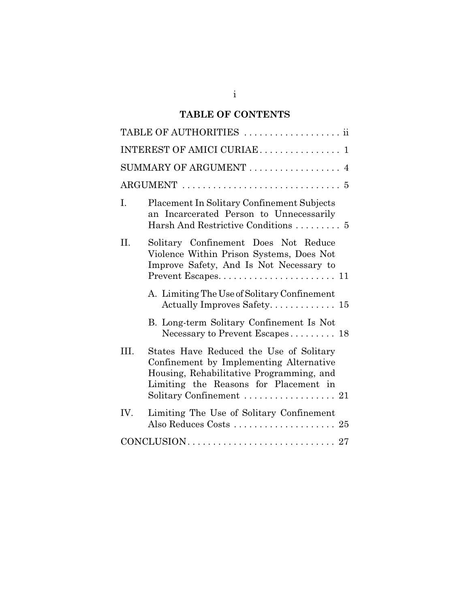# **TABLE OF CONTENTS**

|      | TABLE OF AUTHORITIES  ii                                                                                                                                                                            |
|------|-----------------------------------------------------------------------------------------------------------------------------------------------------------------------------------------------------|
|      | INTEREST OF AMICI CURIAE  1                                                                                                                                                                         |
|      | SUMMARY OF ARGUMENT  4                                                                                                                                                                              |
|      |                                                                                                                                                                                                     |
| I.   | Placement In Solitary Confinement Subjects<br>an Incarcerated Person to Unnecessarily<br>Harsh And Restrictive Conditions  5                                                                        |
| II.  | Solitary Confinement Does Not Reduce<br>Violence Within Prison Systems, Does Not<br>Improve Safety, And Is Not Necessary to                                                                         |
|      | A. Limiting The Use of Solitary Confinement<br>Actually Improves Safety 15                                                                                                                          |
|      | B. Long-term Solitary Confinement Is Not<br>Necessary to Prevent Escapes 18                                                                                                                         |
| III. | States Have Reduced the Use of Solitary<br>Confinement by Implementing Alternative<br>Housing, Rehabilitative Programming, and<br>Limiting the Reasons for Placement in<br>Solitary Confinement  21 |
| IV.  | Limiting The Use of Solitary Confinement                                                                                                                                                            |
|      |                                                                                                                                                                                                     |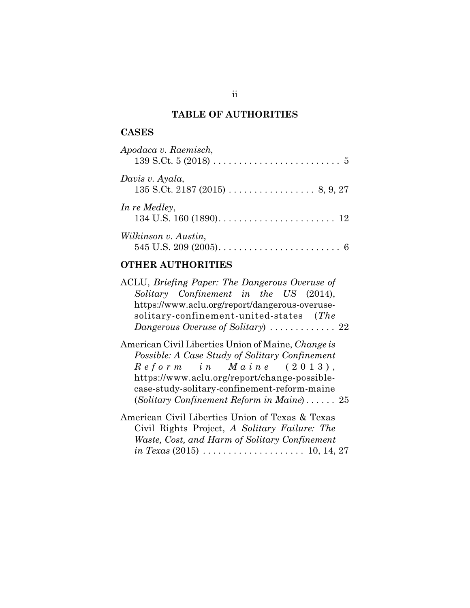# **TABLE OF AUTHORITIES**

## **CASES**

| Apodaca v. Raemisch, |
|----------------------|
| Davis v. Ayala,      |
| In re Medley,        |
| Wilkinson v. Austin, |

# **OTHER AUTHORITIES**

| ACLU, Briefing Paper: The Dangerous Overuse of                                       |
|--------------------------------------------------------------------------------------|
| Solitary Confinement in the US (2014),                                               |
| https://www.aclu.org/report/dangerous-overuse-                                       |
| solitary-confinement-united-states (The                                              |
| Dangerous Overuse of Solitary) $\ldots \ldots \ldots \ldots 22$                      |
| American Civil Liberties Union of Maine, Change is                                   |
| Possible: A Case Study of Solitary Confinement                                       |
| $\textit{Reform in } Maxine (2013),$                                                 |
| https://www.aclu.org/report/change-possible-                                         |
| case-study-solitary-confinement-reform-maine                                         |
| (Solitary Confinement Reform in Maine) $25$                                          |
| American Civil Liberties Union of Texas & Texas                                      |
| Civil Rights Project, A Solitary Failure: The                                        |
| Waste, Cost, and Harm of Solitary Confinement                                        |
| <i>in Texas</i> (2015) $\ldots \ldots \ldots \ldots \ldots \ldots \ldots 10, 14, 27$ |
|                                                                                      |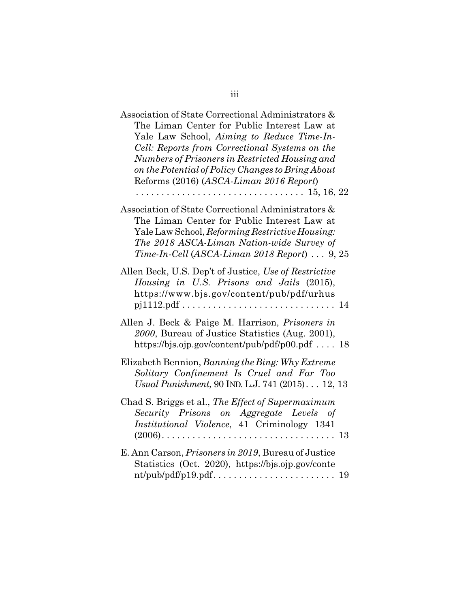| Association of State Correctional Administrators $\&$<br>The Liman Center for Public Interest Law at<br>Yale Law School, Aiming to Reduce Time-In-<br>Cell: Reports from Correctional Systems on the<br>Numbers of Prisoners in Restricted Housing and<br>on the Potential of Policy Changes to Bring About<br>Reforms (2016) (ASCA-Liman 2016 Report) |
|--------------------------------------------------------------------------------------------------------------------------------------------------------------------------------------------------------------------------------------------------------------------------------------------------------------------------------------------------------|
| Association of State Correctional Administrators &<br>The Liman Center for Public Interest Law at<br>Yale Law School, Reforming Restrictive Housing:<br>The 2018 ASCA-Liman Nation-wide Survey of<br>Time-In-Cell (ASCA-Liman 2018 Report)  9, 25                                                                                                      |
| Allen Beck, U.S. Dep't of Justice, Use of Restrictive<br>Housing in U.S. Prisons and Jails (2015),<br>https://www.bjs.gov/content/pub/pdf/urhus                                                                                                                                                                                                        |
| Allen J. Beck & Paige M. Harrison, Prisoners in<br>2000, Bureau of Justice Statistics (Aug. 2001),<br>https://bjs.ojp.gov/content/pub/pdf/p00.pdf $18$                                                                                                                                                                                                 |
| Elizabeth Bennion, Banning the Bing: Why Extreme<br>Solitary Confinement Is Cruel and Far Too<br>Usual Punishment, 90 IND. L.J. 741 (2015) 12, 13                                                                                                                                                                                                      |
| Chad S. Briggs et al., The Effect of Supermaximum<br>Security Prisons on Aggregate Levels of<br>Institutional Violence, 41 Criminology 1341                                                                                                                                                                                                            |
| E. Ann Carson, Prisoners in 2019, Bureau of Justice<br>Statistics (Oct. 2020), https://bjs.ojp.gov/conte                                                                                                                                                                                                                                               |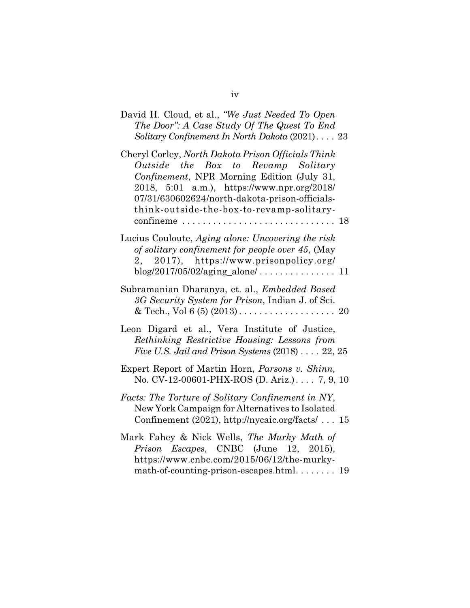| David H. Cloud, et al., "We Just Needed To Open<br>The Door": A Case Study Of The Quest To End<br>Solitary Confinement In North Dakota (2021) 23                                                                                                                                     |
|--------------------------------------------------------------------------------------------------------------------------------------------------------------------------------------------------------------------------------------------------------------------------------------|
| Cheryl Corley, North Dakota Prison Officials Think<br>Outside the Box to Revamp Solitary<br>Confinement, NPR Morning Edition (July 31,<br>2018, 5:01 a.m.), https://www.npr.org/2018/<br>07/31/630602624/north-dakota-prison-officials-<br>think-outside-the-box-to-revamp-solitary- |
| Lucius Couloute, Aging alone: Uncovering the risk<br>of solitary confinement for people over 45, (May<br>2, 2017), https://www.prisonpolicy.org/                                                                                                                                     |
| Subramanian Dharanya, et. al., Embedded Based<br>3G Security System for Prison, Indian J. of Sci.                                                                                                                                                                                    |
| Leon Digard et al., Vera Institute of Justice,<br>Rethinking Restrictive Housing: Lessons from<br>Five U.S. Jail and Prison Systems $(2018)$ 22, 25                                                                                                                                  |
| Expert Report of Martin Horn, Parsons v. Shinn,<br>No. CV-12-00601-PHX-ROS (D. Ariz.). 7, 9, 10                                                                                                                                                                                      |
| Facts: The Torture of Solitary Confinement in NY,<br>New York Campaign for Alternatives to Isolated<br>Confinement (2021), http://nycaic.org/facts/  15                                                                                                                              |
| Mark Fahey & Nick Wells, The Murky Math of<br>Prison Escapes, CNBC (June 12, 2015),<br>https://www.cnbc.com/2015/06/12/the-murky-<br>math-of-counting-prison-escapes.html 19                                                                                                         |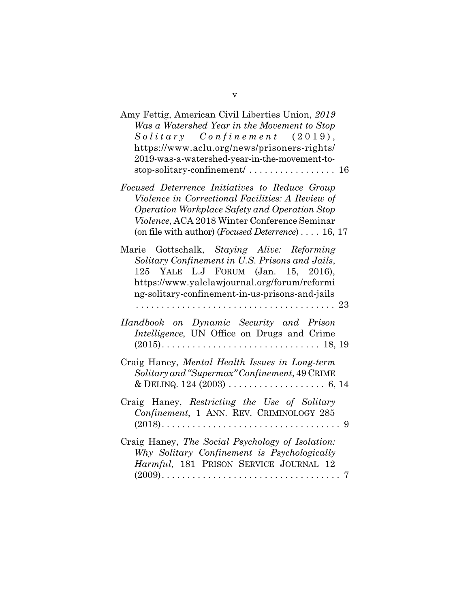| Amy Fettig, American Civil Liberties Union, 2019<br>Was a Watershed Year in the Movement to Stop<br>$Solitary$ Confinement (2019),<br>https://www.aclu.org/news/prisoners-rights/<br>2019-was-a-watershed-year-in-the-movement-to-<br>stop-solitary-confinement/ 16 |   |
|---------------------------------------------------------------------------------------------------------------------------------------------------------------------------------------------------------------------------------------------------------------------|---|
| Focused Deterrence Initiatives to Reduce Group<br>Violence in Correctional Facilities: A Review of<br>Operation Workplace Safety and Operation Stop<br>Violence, ACA 2018 Winter Conference Seminar<br>(on file with author) ( <i>Focused Deterrence</i> ) 16, 17   |   |
| Marie Gottschalk, Staying Alive: Reforming<br>Solitary Confinement in U.S. Prisons and Jails,<br>125 YALE L.J FORUM (Jan. 15, 2016),<br>https://www.yalelawjournal.org/forum/reformi<br>ng-solitary-confinement-in-us-prisons-and-jails                             |   |
| Handbook on Dynamic Security and Prison<br>Intelligence, UN Office on Drugs and Crime                                                                                                                                                                               |   |
| Craig Haney, Mental Health Issues in Long-term<br>Solitary and "Supermax" Confinement, 49 CRIME                                                                                                                                                                     |   |
| Craig Haney, Restricting the Use of Solitary<br>Confinement, 1 ANN. REV. CRIMINOLOGY 285<br>$(2018)$<br>. 9                                                                                                                                                         |   |
| Craig Haney, The Social Psychology of Isolation:<br>Why Solitary Confinement is Psychologically<br>Harmful, 181 PRISON SERVICE JOURNAL 12<br>$(2009)$                                                                                                               | 7 |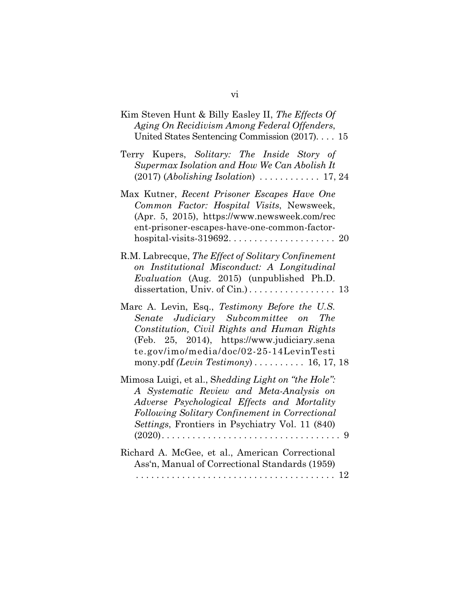| Kim Steven Hunt & Billy Easley II, The Effects Of<br>Aging On Recidivism Among Federal Offenders,<br>United States Sentencing Commission (2017) 15                                                                                                                                 |
|------------------------------------------------------------------------------------------------------------------------------------------------------------------------------------------------------------------------------------------------------------------------------------|
| Terry Kupers, Solitary: The Inside Story of<br>Supermax Isolation and How We Can Abolish It                                                                                                                                                                                        |
| Max Kutner, Recent Prisoner Escapes Have One<br>Common Factor: Hospital Visits, Newsweek,<br>(Apr. 5, 2015), https://www.newsweek.com/rec<br>ent-prisoner-escapes-have-one-common-factor-                                                                                          |
| R.M. Labrecque, The Effect of Solitary Confinement<br>on Institutional Misconduct: A Longitudinal<br>Evaluation (Aug. 2015) (unpublished Ph.D.                                                                                                                                     |
| Marc A. Levin, Esq., Testimony Before the U.S.<br>Senate Judiciary Subcommittee on<br><i>The</i><br>Constitution, Civil Rights and Human Rights<br>(Feb. 25, 2014), https://www.judiciary.sena<br>te.gov/imo/media/doc/02-25-14LevinTesti<br>mony.pdf (Levin Testimony) 16, 17, 18 |
| Mimosa Luigi, et al., Shedding Light on "the Hole":<br>A Systematic Review and Meta-Analysis on<br>Adverse Psychological Effects and Mortality<br>Following Solitary Confinement in Correctional<br>Settings, Frontiers in Psychiatry Vol. 11 (840)                                |
| Richard A. McGee, et al., American Correctional<br>Ass'n, Manual of Correctional Standards (1959)                                                                                                                                                                                  |
|                                                                                                                                                                                                                                                                                    |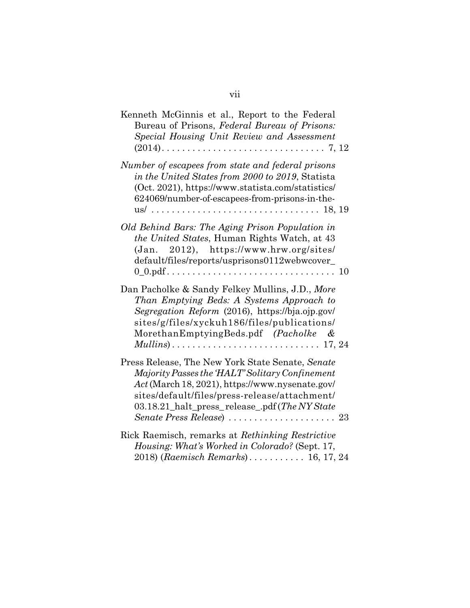| Kenneth McGinnis et al., Report to the Federal<br>Bureau of Prisons, Federal Bureau of Prisons:<br>Special Housing Unit Review and Assessment                                                                                                            |
|----------------------------------------------------------------------------------------------------------------------------------------------------------------------------------------------------------------------------------------------------------|
| Number of escapees from state and federal prisons<br>in the United States from 2000 to 2019, Statista<br>(Oct. 2021), https://www.statista.com/statistics/<br>624069/number-of-escapees-from-prisons-in-the-                                             |
| Old Behind Bars: The Aging Prison Population in<br>the United States, Human Rights Watch, at 43<br>2012), https://www.hrw.org/sites/<br>(Jan.<br>default/files/reports/usprisons0112webwcover_                                                           |
| Dan Pacholke & Sandy Felkey Mullins, J.D., More<br>Than Emptying Beds: A Systems Approach to<br>Segregation Reform (2016), https://bja.ojp.gov/<br>sites/g/files/xyckuh186/files/publications/<br>MorethanEmptyingBeds.pdf (Pacholke &                   |
| Press Release, The New York State Senate, Senate<br>Majority Passes the 'HALT' Solitary Confinement<br>Act (March 18, 2021), https://www.nysenate.gov/<br>sites/default/files/press-release/attachment/<br>03.18.21_halt_press_release_.pdf(The NY State |
| Rick Raemisch, remarks at Rethinking Restrictive<br>Housing: What's Worked in Colorado? (Sept. 17,<br>2018) (Raemisch Remarks) 16, 17, 24                                                                                                                |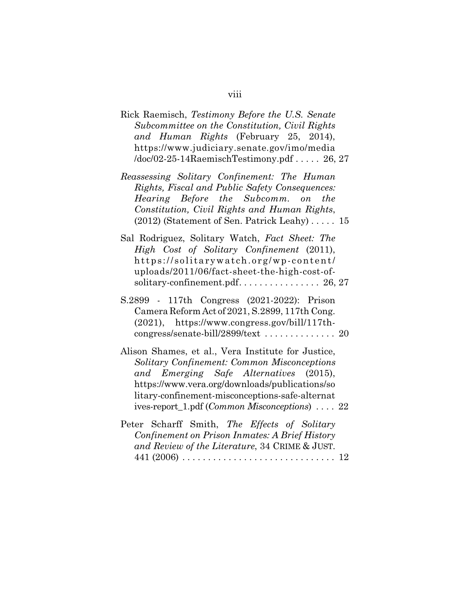| Rick Raemisch, Testimony Before the U.S. Senate<br>Subcommittee on the Constitution, Civil Rights<br>and Human Rights (February 25, 2014),<br>https://www.judiciary.senate.gov/imo/media<br>$/$ doc $/$ 02-25-14RaemischTestimony.pdf 26, 27                                                                       |  |
|--------------------------------------------------------------------------------------------------------------------------------------------------------------------------------------------------------------------------------------------------------------------------------------------------------------------|--|
| Reassessing Solitary Confinement: The Human<br>Rights, Fiscal and Public Safety Consequences:<br>Hearing Before the Subcomm. on<br>the<br>Constitution, Civil Rights and Human Rights,<br>(2012) (Statement of Sen. Patrick Leahy) 15                                                                              |  |
| Sal Rodriguez, Solitary Watch, Fact Sheet: The<br>High Cost of Solitary Confinement (2011),<br>https://solitarywatch.org/wp-content/<br>uploads/2011/06/fact-sheet-the-high-cost-of-                                                                                                                               |  |
| S.2899 - 117th Congress (2021-2022): Prison<br>Camera Reform Act of 2021, S.2899, 117th Cong.<br>$(2021)$ , https://www.congress.gov/bill/117th-<br>congress/senate-bill/2899/text  20                                                                                                                             |  |
| Alison Shames, et al., Vera Institute for Justice,<br>Solitary Confinement: Common Misconceptions<br>and Emerging Safe Alternatives (2015),<br>https://www.vera.org/downloads/publications/so<br>litary-confinement-misconceptions-safe-alternat<br>ives-report_1.pdf ( <i>Common Misconceptions</i> ) $\ldots$ 22 |  |
| Peter Scharff Smith, The Effects of Solitary<br>Confinement on Prison Inmates: A Brief History<br>and Review of the Literature, 34 CRIME & JUST.<br>$441 (2006) \ldots \ldots \ldots \ldots \ldots \ldots \ldots \ldots \ldots \ldots 12$                                                                          |  |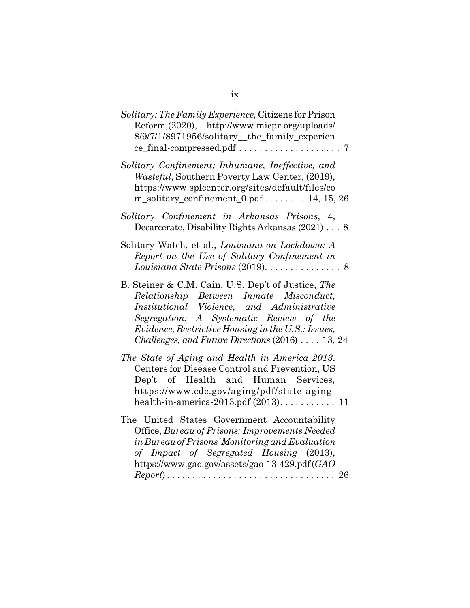| <i>Solitary: The Family Experience, Citizens for Prison</i><br>Reform, (2020), http://www.micpr.org/uploads/<br>8/9/7/1/8971956/solitary_the_family_experien                                                                                                                                     |
|--------------------------------------------------------------------------------------------------------------------------------------------------------------------------------------------------------------------------------------------------------------------------------------------------|
| Solitary Confinement; Inhumane, Ineffective, and<br><i>Wasteful</i> , Southern Poverty Law Center, (2019),<br>https://www.splcenter.org/sites/default/files/co<br>m_solitary_confinement_0.pdf 14, 15, 26                                                                                        |
| Solitary Confinement in Arkansas Prisons, 4,<br>Decarcerate, Disability Rights Arkansas (2021) 8                                                                                                                                                                                                 |
| Solitary Watch, et al., Louisiana on Lockdown: A<br>Report on the Use of Solitary Confinement in                                                                                                                                                                                                 |
| B. Steiner & C.M. Cain, U.S. Dep't of Justice, The<br>Relationship Between Inmate Misconduct,<br>Institutional Violence, and Administrative<br>Segregation: A Systematic Review of the<br>Evidence, Restrictive Housing in the U.S.: Issues,<br>Challenges, and Future Directions (2016)  13, 24 |
| The State of Aging and Health in America 2013,<br>Centers for Disease Control and Prevention, US<br>Dep't of Health and Human Services,<br>https://www.cdc.gov/aging/pdf/state-aging-<br>health-in-america-2013.pdf $(2013)$ 11                                                                  |
| The United States Government Accountability<br>Office, Bureau of Prisons: Improvements Needed<br>in Bureau of Prisons' Monitoring and Evaluation<br>of Impact of Segregated Housing (2013),<br>https://www.gao.gov/assets/gao-13-429.pdf (GAO                                                    |
|                                                                                                                                                                                                                                                                                                  |

ix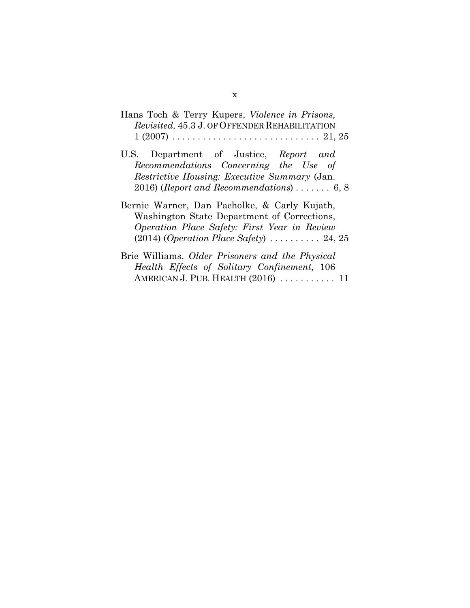| Hans Toch & Terry Kupers, <i>Violence in Prisons</i> ,                                  |
|-----------------------------------------------------------------------------------------|
| <i>Revisited, 45.3 J. OF OFFENDER REHABILITATION</i>                                    |
| $1 (2007) \ldots \ldots \ldots \ldots \ldots \ldots \ldots \ldots \ldots \ldots 21, 25$ |

- U.S. Department of Justice, *Report and Recommendations Concerning the Use of Restrictive Housing: Executive Summary* (Jan. 2016) (*Report and Recommendations*) . . . . . . . 6, 8
- Bernie Warner, Dan Pacholke, & Carly Kujath, Washington State Department of Corrections, *Operation Place Safety: First Year in Review* (2014) (*Operation Place Safety*) . . . . . . . . . . 24, 25
- Brie Williams, *Older Prisoners and the Physical Health Effects of Solitary Confinement*, 106 AMERICAN J. PUB. HEALTH (2016) . . . . . . . . . . . 11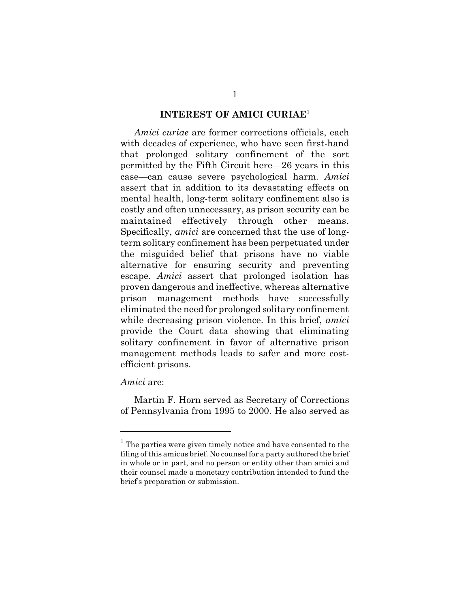#### **INTEREST OF AMICI CURIAE**<sup>1</sup>

*Amici curiae* are former corrections officials, each with decades of experience, who have seen first-hand that prolonged solitary confinement of the sort permitted by the Fifth Circuit here—26 years in this case—can cause severe psychological harm. *Amici* assert that in addition to its devastating effects on mental health, long-term solitary confinement also is costly and often unnecessary, as prison security can be maintained effectively through other means. Specifically, *amici* are concerned that the use of longterm solitary confinement has been perpetuated under the misguided belief that prisons have no viable alternative for ensuring security and preventing escape. *Amici* assert that prolonged isolation has proven dangerous and ineffective, whereas alternative prison management methods have successfully eliminated the need for prolonged solitary confinement while decreasing prison violence. In this brief, *amici* provide the Court data showing that eliminating solitary confinement in favor of alternative prison management methods leads to safer and more costefficient prisons.

*Amici* are:

Martin F. Horn served as Secretary of Corrections of Pennsylvania from 1995 to 2000. He also served as

<sup>&</sup>lt;sup>1</sup> The parties were given timely notice and have consented to the filing of this amicus brief. No counsel for a party authored the brief in whole or in part, and no person or entity other than amici and their counsel made a monetary contribution intended to fund the brief's preparation or submission.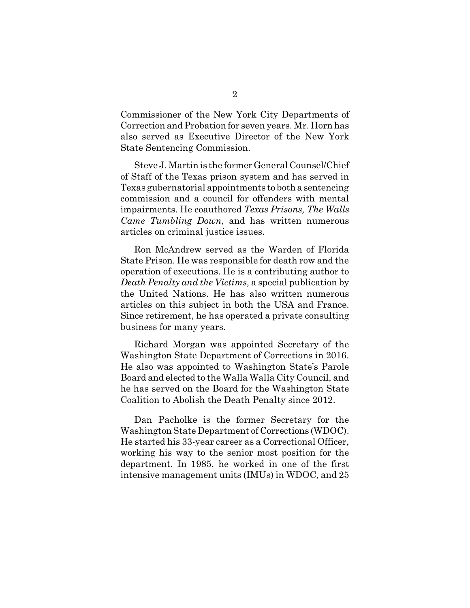Commissioner of the New York City Departments of Correction and Probation for seven years. Mr. Horn has also served as Executive Director of the New York State Sentencing Commission.

Steve J. Martin is the former General Counsel/Chief of Staff of the Texas prison system and has served in Texas gubernatorial appointments to both a sentencing commission and a council for offenders with mental impairments. He coauthored *Texas Prisons, The Walls Came Tumbling Down*, and has written numerous articles on criminal justice issues.

Ron McAndrew served as the Warden of Florida State Prison. He was responsible for death row and the operation of executions. He is a contributing author to *Death Penalty and the Victims,* a special publication by the United Nations. He has also written numerous articles on this subject in both the USA and France. Since retirement, he has operated a private consulting business for many years.

Richard Morgan was appointed Secretary of the Washington State Department of Corrections in 2016. He also was appointed to Washington State's Parole Board and elected to the Walla Walla City Council, and he has served on the Board for the Washington State Coalition to Abolish the Death Penalty since 2012.

Dan Pacholke is the former Secretary for the Washington State Department of Corrections (WDOC). He started his 33-year career as a Correctional Officer, working his way to the senior most position for the department. In 1985, he worked in one of the first intensive management units (IMUs) in WDOC, and 25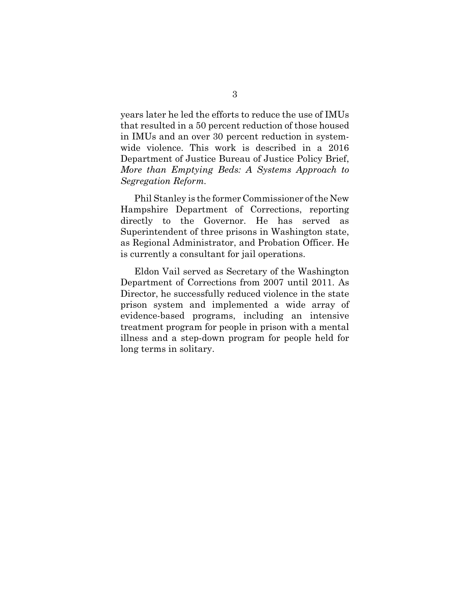years later he led the efforts to reduce the use of IMUs that resulted in a 50 percent reduction of those housed in IMUs and an over 30 percent reduction in systemwide violence. This work is described in a 2016 Department of Justice Bureau of Justice Policy Brief, *More than Emptying Beds: A Systems Approach to Segregation Reform*.

Phil Stanley is the former Commissioner of the New Hampshire Department of Corrections, reporting directly to the Governor. He has served as Superintendent of three prisons in Washington state, as Regional Administrator, and Probation Officer. He is currently a consultant for jail operations.

Eldon Vail served as Secretary of the Washington Department of Corrections from 2007 until 2011. As Director, he successfully reduced violence in the state prison system and implemented a wide array of evidence-based programs, including an intensive treatment program for people in prison with a mental illness and a step-down program for people held for long terms in solitary.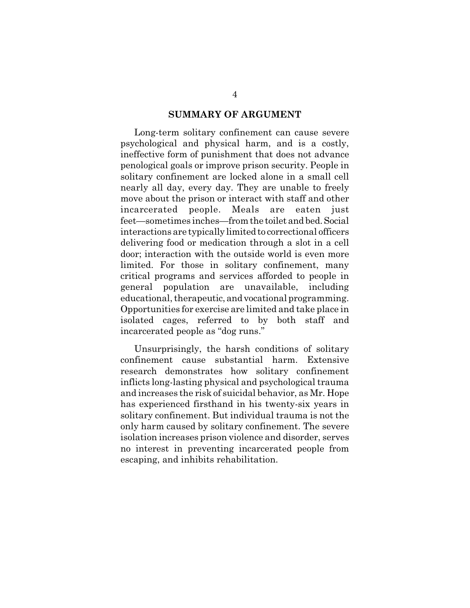#### **SUMMARY OF ARGUMENT**

Long-term solitary confinement can cause severe psychological and physical harm, and is a costly, ineffective form of punishment that does not advance penological goals or improve prison security. People in solitary confinement are locked alone in a small cell nearly all day, every day. They are unable to freely move about the prison or interact with staff and other incarcerated people. Meals are eaten just feet—sometimes inches—from the toilet and bed. Social interactions are typically limited to correctional officers delivering food or medication through a slot in a cell door; interaction with the outside world is even more limited. For those in solitary confinement, many critical programs and services afforded to people in general population are unavailable, including educational, therapeutic, and vocational programming. Opportunities for exercise are limited and take place in isolated cages, referred to by both staff and incarcerated people as "dog runs."

Unsurprisingly, the harsh conditions of solitary confinement cause substantial harm. Extensive research demonstrates how solitary confinement inflicts long-lasting physical and psychological trauma and increases the risk of suicidal behavior, as Mr. Hope has experienced firsthand in his twenty-six years in solitary confinement. But individual trauma is not the only harm caused by solitary confinement. The severe isolation increases prison violence and disorder, serves no interest in preventing incarcerated people from escaping, and inhibits rehabilitation.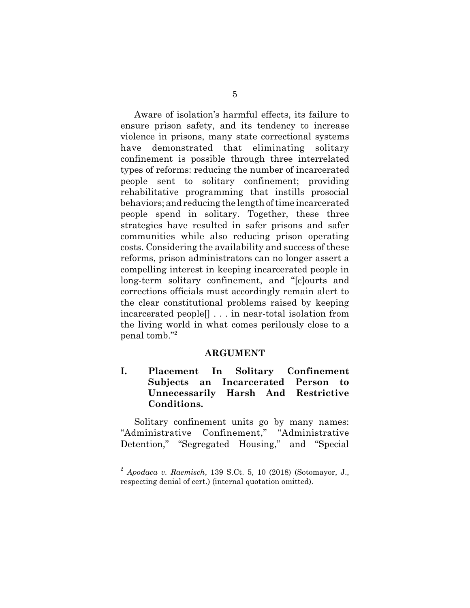Aware of isolation's harmful effects, its failure to ensure prison safety, and its tendency to increase violence in prisons, many state correctional systems have demonstrated that eliminating solitary confinement is possible through three interrelated types of reforms: reducing the number of incarcerated people sent to solitary confinement; providing rehabilitative programming that instills prosocial behaviors; and reducing the length of time incarcerated people spend in solitary. Together, these three strategies have resulted in safer prisons and safer communities while also reducing prison operating costs. Considering the availability and success of these reforms, prison administrators can no longer assert a compelling interest in keeping incarcerated people in long-term solitary confinement, and "[c]ourts and corrections officials must accordingly remain alert to the clear constitutional problems raised by keeping incarcerated people[] . . . in near-total isolation from the living world in what comes perilously close to a penal tomb."<sup>2</sup>

#### **ARGUMENT**

## **I. Placement In Solitary Confinement Subjects an Incarcerated Person to Unnecessarily Harsh And Restrictive Conditions.**

Solitary confinement units go by many names: "Administrative Confinement," "Administrative Detention," "Segregated Housing," and "Special

<sup>2</sup> *Apodaca v. Raemisch*, 139 S.Ct. 5, 10 (2018) (Sotomayor, J., respecting denial of cert.) (internal quotation omitted).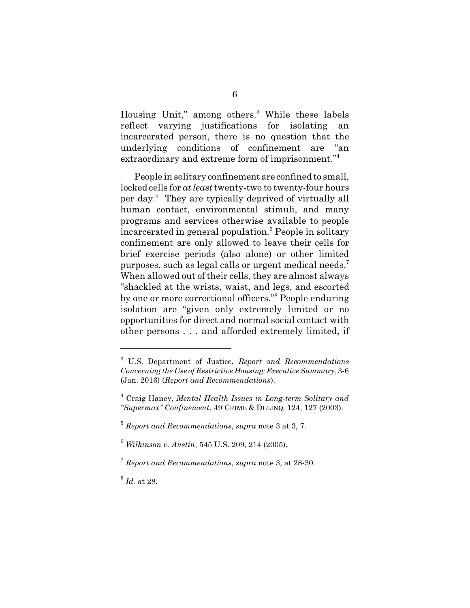Housing Unit," among others.<sup>3</sup> While these labels reflect varying justifications for isolating incarcerated person, there is no question that the underlying conditions of confinement are "an extraordinary and extreme form of imprisonment."<sup>4</sup>

People in solitary confinement are confined to small, locked cells for *at least* twenty-two to twenty-four hours per day.<sup>5</sup> They are typically deprived of virtually all human contact, environmental stimuli, and many programs and services otherwise available to people incarcerated in general population.<sup>6</sup> People in solitary confinement are only allowed to leave their cells for brief exercise periods (also alone) or other limited purposes, such as legal calls or urgent medical needs.<sup>7</sup> When allowed out of their cells, they are almost always "shackled at the wrists, waist, and legs, and escorted by one or more correctional officers."<sup>8</sup> People enduring isolation are "given only extremely limited or no opportunities for direct and normal social contact with other persons . . . and afforded extremely limited, if

<sup>3</sup> U.S. Department of Justice, *Report and Recommendations Concerning the Use of Restrictive Housing: Executive Summary*, 3-6 (Jan. 2016) (*Report and Recommendations*).

<sup>4</sup> Craig Haney, *Mental Health Issues in Long-term Solitary and "Supermax" Confinement*, 49 CRIME & DELINQ. 124, 127 (2003).

<sup>5</sup> *Report and Recommendations*, *supra* note 3 at 3, 7.

<sup>6</sup> *Wilkinson v. Austin*, 545 U.S. 209, 214 (2005).

<sup>7</sup> *Report and Recommendations*, *supra* note 3, at 28-30.

<sup>8</sup> *Id.* at 28.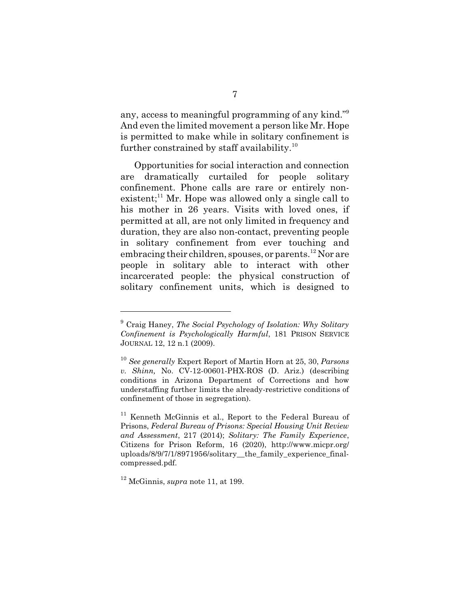any, access to meaningful programming of any kind."<sup>9</sup> And even the limited movement a person like Mr. Hope is permitted to make while in solitary confinement is further constrained by staff availability.<sup>10</sup>

Opportunities for social interaction and connection are dramatically curtailed for people solitary confinement. Phone calls are rare or entirely nonexistent; $^{11}$  Mr. Hope was allowed only a single call to his mother in 26 years. Visits with loved ones, if permitted at all, are not only limited in frequency and duration, they are also non-contact, preventing people in solitary confinement from ever touching and embracing their children, spouses, or parents.<sup>12</sup> Nor are people in solitary able to interact with other incarcerated people: the physical construction of solitary confinement units, which is designed to

<sup>9</sup> Craig Haney, *The Social Psychology of Isolation: Why Solitary Confinement is Psychologically Harmful*, 181 PRISON SERVICE JOURNAL 12, 12 n.1 (2009).

<sup>10</sup> *See generally* Expert Report of Martin Horn at 25, 30, *Parsons v. Shinn,* No. CV-12-00601-PHX-ROS (D. Ariz.) (describing conditions in Arizona Department of Corrections and how understaffing further limits the already-restrictive conditions of confinement of those in segregation).

<sup>&</sup>lt;sup>11</sup> Kenneth McGinnis et al., Report to the Federal Bureau of Prisons, *Federal Bureau of Prisons: Special Housing Unit Review and Assessment*, 217 (2014); *Solitary: The Family Experience*, Citizens for Prison Reform, 16 (2020), http://www.micpr.org/ uploads/8/9/7/1/8971956/solitary the family experience finalcompressed.pdf.

<sup>12</sup> McGinnis, *supra* note 11, at 199.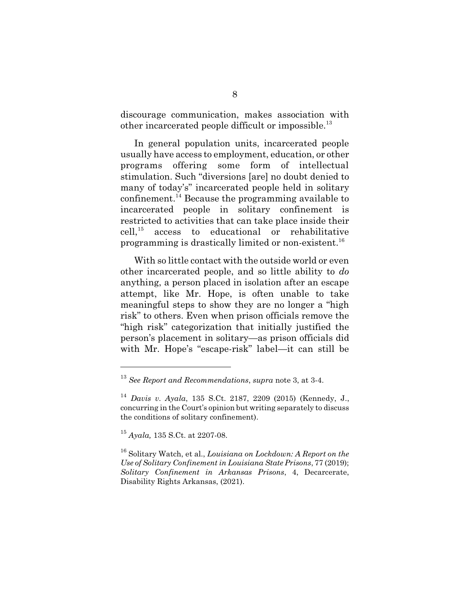discourage communication, makes association with other incarcerated people difficult or impossible.<sup>13</sup>

In general population units, incarcerated people usually have access to employment, education, or other programs offering some form of intellectual stimulation. Such "diversions [are] no doubt denied to many of today's" incarcerated people held in solitary confinement.<sup>14</sup> Because the programming available to incarcerated people in solitary confinement is restricted to activities that can take place inside their  $cell<sub>15</sub>$  access to educational or rehabilitative programming is drastically limited or non-existent.<sup>16</sup>

With so little contact with the outside world or even other incarcerated people, and so little ability to *do* anything, a person placed in isolation after an escape attempt, like Mr. Hope, is often unable to take meaningful steps to show they are no longer a "high risk" to others. Even when prison officials remove the "high risk" categorization that initially justified the person's placement in solitary—as prison officials did with Mr. Hope's "escape-risk" label—it can still be

<sup>16</sup> Solitary Watch, et al., *Louisiana on Lockdown: A Report on the Use of Solitary Confinement in Louisiana State Prisons*, 77 (2019); *Solitary Confinement in Arkansas Prisons*, 4, Decarcerate, Disability Rights Arkansas, (2021).

<sup>13</sup> *See Report and Recommendations*, *supra* note 3, at 3-4.

<sup>14</sup> *Davis v. Ayala*, 135 S.Ct. 2187, 2209 (2015) (Kennedy, J., concurring in the Court's opinion but writing separately to discuss the conditions of solitary confinement).

<sup>15</sup> *Ayala,* 135 S.Ct. at 2207-08.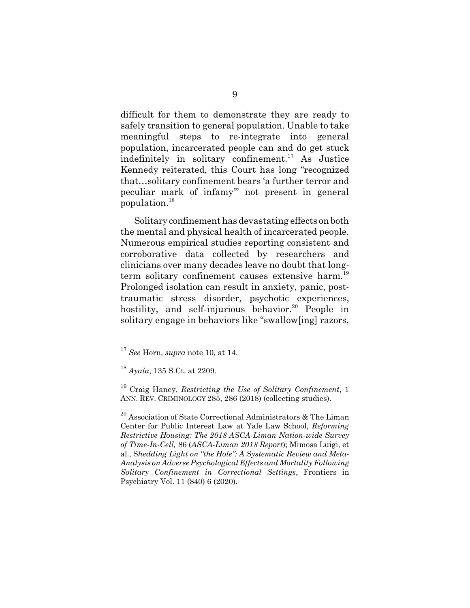difficult for them to demonstrate they are ready to safely transition to general population. Unable to take meaningful steps to re-integrate into general population, incarcerated people can and do get stuck indefinitely in solitary confinement.<sup>17</sup> As Justice Kennedy reiterated, this Court has long "recognized that…solitary confinement bears 'a further terror and peculiar mark of infamy'" not present in general population.<sup>18</sup>

Solitary confinement has devastating effects on both the mental and physical health of incarcerated people. Numerous empirical studies reporting consistent and corroborative data collected by researchers and clinicians over many decades leave no doubt that longterm solitary confinement causes extensive harm.<sup>19</sup> Prolonged isolation can result in anxiety, panic, posttraumatic stress disorder, psychotic experiences, hostility, and self-injurious behavior.<sup>20</sup> People in solitary engage in behaviors like "swallow[ing] razors,

<sup>17</sup> *See* Horn, *supra* note 10, at 14.

<sup>18</sup> *Ayala*, 135 S.Ct. at 2209.

<sup>19</sup> Craig Haney, *Restricting the Use of Solitary Confinement*, 1 ANN. REV. CRIMINOLOGY 285, 286 (2018) (collecting studies).

 $^{20}$  Association of State Correctional Administrators & The Liman Center for Public Interest Law at Yale Law School, *Reforming Restrictive Housing: The 2018 ASCA-Liman Nation-wide Survey of Time-In-Cell,* 86 (*ASCA-Liman 2018 Report*); Mimosa Luigi, et al., S*hedding Light on "the Hole": A Systematic Review and Meta-Analysis on Adverse Psychological Effects and Mortality Following Solitary Confinement in Correctional Settings*, Frontiers in Psychiatry Vol. 11 (840) 6 (2020).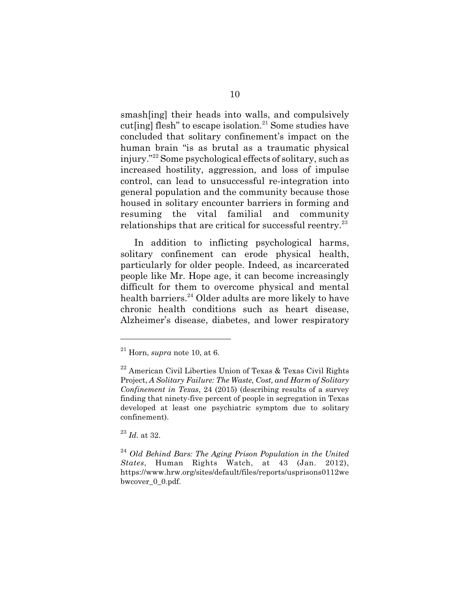smash[ing] their heads into walls, and compulsively cut[ing] flesh" to escape isolation.<sup>21</sup> Some studies have concluded that solitary confinement's impact on the human brain "is as brutal as a traumatic physical injury."<sup>22</sup> Some psychological effects of solitary, such as increased hostility, aggression, and loss of impulse control, can lead to unsuccessful re-integration into general population and the community because those housed in solitary encounter barriers in forming and resuming the vital familial and community relationships that are critical for successful reentry.<sup>23</sup>

In addition to inflicting psychological harms, solitary confinement can erode physical health, particularly for older people. Indeed, as incarcerated people like Mr. Hope age, it can become increasingly difficult for them to overcome physical and mental health barriers.<sup>24</sup> Older adults are more likely to have chronic health conditions such as heart disease, Alzheimer's disease, diabetes, and lower respiratory

<sup>23</sup> *Id.* at 32.

<sup>21</sup> Horn, *supra* note 10, at 6.

 $^{22}$  American Civil Liberties Union of Texas & Texas Civil Rights Project, *A Solitary Failure: The Waste, Cost, and Harm of Solitary Confinement in Texas*, 24 (2015) (describing results of a survey finding that ninety-five percent of people in segregation in Texas developed at least one psychiatric symptom due to solitary confinement).

<sup>24</sup> *Old Behind Bars: The Aging Prison Population in the United States*, Human Rights Watch, at 43 (Jan. 2012), https://www.hrw.org/sites/default/files/reports/usprisons0112we bwcover\_0\_0.pdf.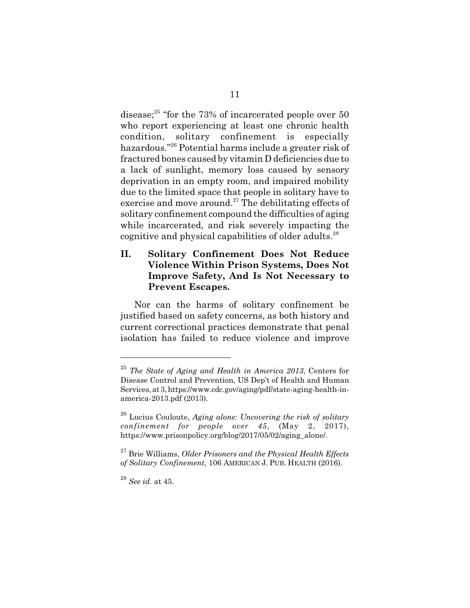disease;<sup>25</sup> "for the 73% of incarcerated people over 50 who report experiencing at least one chronic health condition, solitary confinement is especially hazardous."<sup>26</sup> Potential harms include a greater risk of fractured bones caused by vitamin D deficiencies due to a lack of sunlight, memory loss caused by sensory deprivation in an empty room, and impaired mobility due to the limited space that people in solitary have to exercise and move around. $27$  The debilitating effects of solitary confinement compound the difficulties of aging while incarcerated, and risk severely impacting the cognitive and physical capabilities of older adults.<sup>28</sup>

## **II. Solitary Confinement Does Not Reduce Violence Within Prison Systems, Does Not Improve Safety, And Is Not Necessary to Prevent Escapes.**

Nor can the harms of solitary confinement be justified based on safety concerns, as both history and current correctional practices demonstrate that penal isolation has failed to reduce violence and improve

<sup>25</sup> *The State of Aging and Health in America 2013*, Centers for Disease Control and Prevention, US Dep't of Health and Human Services, at 3, https://www.cdc.gov/aging/pdf/state-aging-health-inamerica-2013.pdf (2013).

<sup>26</sup> Lucius Couloute, *Aging alone: Uncovering the risk of solitary confinement for people over 45*, (May 2, 2017), https://www.prisonpolicy.org/blog/2017/05/02/aging\_alone/.

<sup>27</sup> Brie Williams, *Older Prisoners and the Physical Health Effects of Solitary Confinement,* 106 AMERICAN J. PUB. HEALTH (2016).

<sup>28</sup> *See id.* at 45.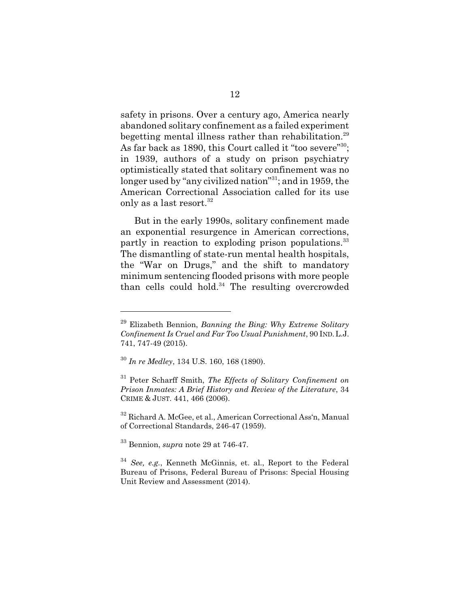safety in prisons. Over a century ago, America nearly abandoned solitary confinement as a failed experiment begetting mental illness rather than rehabilitation.<sup>29</sup> As far back as 1890, this Court called it "too severe"<sup>30</sup>; in 1939, authors of a study on prison psychiatry optimistically stated that solitary confinement was no longer used by "any civilized nation"<sup>31</sup>; and in 1959, the American Correctional Association called for its use only as a last resort.<sup>32</sup>

But in the early 1990s, solitary confinement made an exponential resurgence in American corrections, partly in reaction to exploding prison populations.<sup>33</sup> The dismantling of state-run mental health hospitals, the "War on Drugs," and the shift to mandatory minimum sentencing flooded prisons with more people than cells could hold.<sup>34</sup> The resulting overcrowded

<sup>29</sup> Elizabeth Bennion, *Banning the Bing: Why Extreme Solitary Confinement Is Cruel and Far Too Usual Punishment*, 90 IND.L.J. 741, 747-49 (2015).

<sup>30</sup> *In re Medley*, 134 U.S. 160, 168 (1890).

<sup>31</sup> Peter Scharff Smith, *The Effects of Solitary Confinement on Prison Inmates: A Brief History and Review of the Literature*, 34 CRIME & JUST. 441, 466 (2006).

<sup>&</sup>lt;sup>32</sup> Richard A. McGee, et al., American Correctional Ass'n, Manual of Correctional Standards, 246-47 (1959).

<sup>33</sup> Bennion, *supra* note 29 at 746-47.

<sup>34</sup> *See, e.g.*, Kenneth McGinnis, et. al., Report to the Federal Bureau of Prisons, Federal Bureau of Prisons: Special Housing Unit Review and Assessment (2014).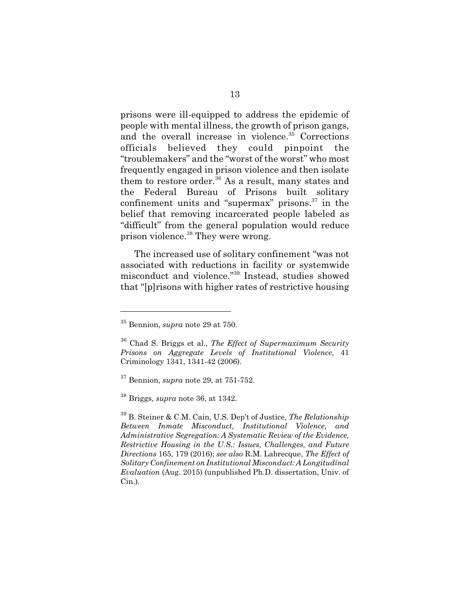prisons were ill-equipped to address the epidemic of people with mental illness, the growth of prison gangs, and the overall increase in violence.<sup>35</sup> Corrections officials believed they could pinpoint the "troublemakers" and the "worst of the worst" who most frequently engaged in prison violence and then isolate them to restore order. $36$  As a result, many states and the Federal Bureau of Prisons built solitary confinement units and "supermax" prisons. $37$  in the belief that removing incarcerated people labeled as "difficult" from the general population would reduce prison violence.<sup>38</sup> They were wrong.

The increased use of solitary confinement "was not associated with reductions in facility or systemwide misconduct and violence."<sup>39</sup> Instead, studies showed that "[p]risons with higher rates of restrictive housing

<sup>35</sup> Bennion, *supra* note 29 at 750.

<sup>36</sup> Chad S. Briggs et al., *The Effect of Supermaximum Security Prisons on Aggregate Levels of Institutional Violence*, 41 Criminology 1341, 1341-42 (2006).

<sup>37</sup> Bennion, *supra* note 29, at 751-752.

<sup>38</sup> Briggs, *supra* note 36, at 1342.

<sup>39</sup> B. Steiner & C.M. Cain, U.S. Dep't of Justice, *The Relationship Between Inmate Misconduct, Institutional Violence, and Administrative Segregation: A Systematic Review of the Evidence, Restrictive Housing in the U.S.: Issues, Challenges, and Future Directions* 165, 179 (2016); *see also* R.M. Labrecque, *The Effect of Solitary Confinement on Institutional Misconduct: A Longitudinal Evaluation* (Aug. 2015) (unpublished Ph.D. dissertation, Univ. of Cin.).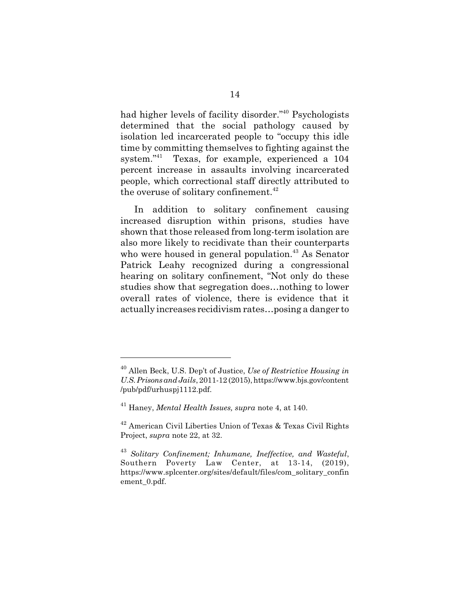had higher levels of facility disorder."<sup>40</sup> Psychologists determined that the social pathology caused by isolation led incarcerated people to "occupy this idle time by committing themselves to fighting against the system."<sup>41</sup> Texas, for example, experienced a 104 percent increase in assaults involving incarcerated people, which correctional staff directly attributed to the overuse of solitary confinement.<sup>42</sup>

In addition to solitary confinement causing increased disruption within prisons, studies have shown that those released from long-term isolation are also more likely to recidivate than their counterparts who were housed in general population.<sup>43</sup> As Senator Patrick Leahy recognized during a congressional hearing on solitary confinement, "Not only do these studies show that segregation does…nothing to lower overall rates of violence, there is evidence that it actually increases recidivism rates…posing a danger to

<sup>40</sup> Allen Beck, U.S. Dep't of Justice, *Use of Restrictive Housing in U.S. Prisons and Jails*, 2011-12 (2015), https://www.bjs.gov/content /pub/pdf/urhuspj1112.pdf.

<sup>41</sup> Haney, *Mental Health Issues, supra* note 4, at 140.

<sup>42</sup> American Civil Liberties Union of Texas & Texas Civil Rights Project, *supra* note 22, at 32.

<sup>43</sup> *Solitary Confinement; Inhumane, Ineffective, and Wasteful*, Southern Poverty Law Center, at 13-14, (2019), https://www.splcenter.org/sites/default/files/com\_solitary\_confin ement\_0.pdf.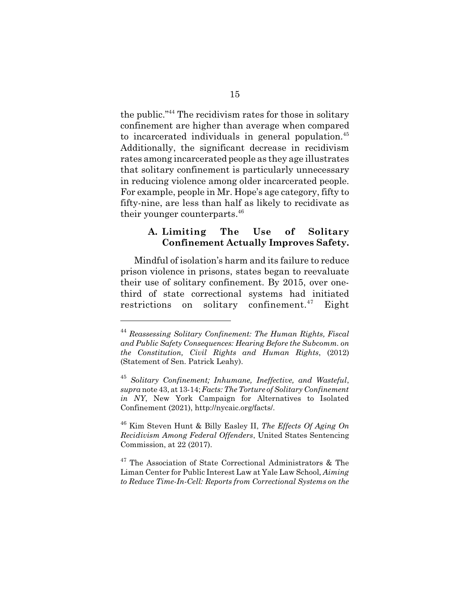the public."<sup>44</sup> The recidivism rates for those in solitary confinement are higher than average when compared to incarcerated individuals in general population.<sup>45</sup> Additionally, the significant decrease in recidivism rates among incarcerated people as they age illustrates that solitary confinement is particularly unnecessary in reducing violence among older incarcerated people. For example, people in Mr. Hope's age category, fifty to fifty-nine, are less than half as likely to recidivate as their younger counterparts.<sup>46</sup>

### **A. Limiting The Use of Solitary Confinement Actually Improves Safety.**

Mindful of isolation's harm and its failure to reduce prison violence in prisons, states began to reevaluate their use of solitary confinement. By 2015, over onethird of state correctional systems had initiated restrictions on solitary confinement.<sup>47</sup> Eight

<sup>44</sup> *Reassessing Solitary Confinement: The Human Rights, Fiscal and Public Safety Consequences: Hearing Before the Subcomm. on the Constitution, Civil Rights and Human Rights*, (2012) (Statement of Sen. Patrick Leahy).

<sup>45</sup> *Solitary Confinement; Inhumane, Ineffective, and Wasteful*, *supra* note 43, at 13-14; *Facts: The Torture of Solitary Confinement in NY*, New York Campaign for Alternatives to Isolated Confinement (2021), http://nycaic.org/facts/.

<sup>46</sup> Kim Steven Hunt & Billy Easley II, *The Effects Of Aging On Recidivism Among Federal Offenders*, United States Sentencing Commission, at 22 (2017).

<sup>&</sup>lt;sup>47</sup> The Association of State Correctional Administrators & The Liman Center for Public Interest Law at Yale Law School, *Aiming to Reduce Time-In-Cell: Reports from Correctional Systems on the*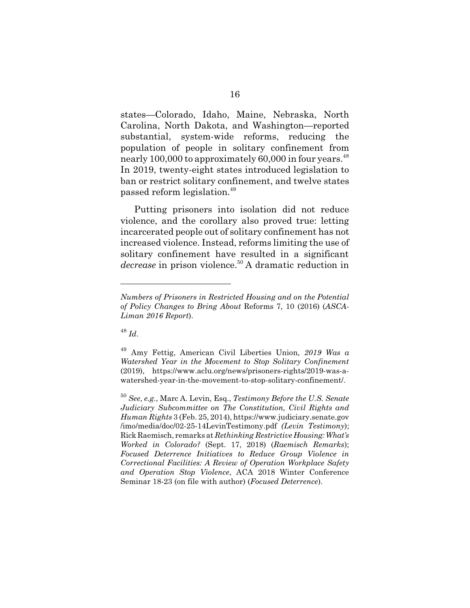states—Colorado, Idaho, Maine, Nebraska, North Carolina, North Dakota, and Washington—reported substantial, system-wide reforms, reducing the population of people in solitary confinement from nearly 100,000 to approximately  $60,000$  in four years.<sup>48</sup> In 2019, twenty-eight states introduced legislation to ban or restrict solitary confinement, and twelve states passed reform legislation.<sup>49</sup>

Putting prisoners into isolation did not reduce violence, and the corollary also proved true: letting incarcerated people out of solitary confinement has not increased violence. Instead, reforms limiting the use of solitary confinement have resulted in a significant *decrease* in prison violence.<sup>50</sup>A dramatic reduction in

<sup>48</sup> *Id*.

*Numbers of Prisoners in Restricted Housing and on the Potential of Policy Changes to Bring About* Reforms 7, 10 (2016) (*ASCA-Liman 2016 Report*).

<sup>49</sup> Amy Fettig, American Civil Liberties Union, *2019 Was a Watershed Year in the Movement to Stop Solitary Confinement* (2019), https://www.aclu.org/news/prisoners-rights/2019-was-awatershed-year-in-the-movement-to-stop-solitary-confinement/.

<sup>50</sup> *See*, *e.g.*, Marc A. Levin, Esq., *Testimony Before the U.S. Senate Judiciary Subcommittee on The Constitution, Civil Rights and Human Rights* 3 (Feb. 25, 2014), https://www.judiciary.senate.gov /imo/media/doc/02-25-14LevinTestimony.pdf *(Levin Testimony*); Rick Raemisch, remarks at *Rethinking Restrictive Housing: What's Worked in Colorado?* (Sept. 17, 2018) (*Raemisch Remarks*); *Focused Deterrence Initiatives to Reduce Group Violence in Correctional Facilities: A Review of Operation Workplace Safety and Operation Stop Violence*, ACA 2018 Winter Conference Seminar 18-23 (on file with author) (*Focused Deterrence*).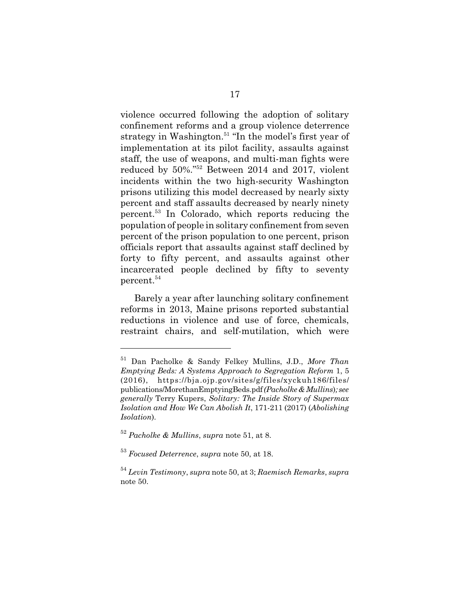violence occurred following the adoption of solitary confinement reforms and a group violence deterrence strategy in Washington. $51$  "In the model's first year of implementation at its pilot facility, assaults against staff, the use of weapons, and multi-man fights were reduced by 50%."<sup>52</sup> Between 2014 and 2017, violent incidents within the two high-security Washington prisons utilizing this model decreased by nearly sixty percent and staff assaults decreased by nearly ninety percent.<sup>53</sup> In Colorado, which reports reducing the population of people in solitary confinement from seven percent of the prison population to one percent, prison officials report that assaults against staff declined by forty to fifty percent, and assaults against other incarcerated people declined by fifty to seventy percent.<sup>54</sup>

Barely a year after launching solitary confinement reforms in 2013, Maine prisons reported substantial reductions in violence and use of force, chemicals, restraint chairs, and self-mutilation, which were

<sup>51</sup> Dan Pacholke & Sandy Felkey Mullins, J.D., *More Than Emptying Beds: A Systems Approach to Segregation Reform* 1, 5 (2016), https://bja.ojp.gov/sites/g/files/xyckuh186/files/ publications/MorethanEmptyingBeds.pdf *(Pacholke & Mullins*)*; see generally* Terry Kupers, *Solitary: The Inside Story of Supermax Isolation and How We Can Abolish It*, 171-211 (2017) (*Abolishing Isolation*)*.*

<sup>52</sup> *Pacholke & Mullins*, *supra* note 51, at 8.

<sup>53</sup> *Focused Deterrence*, *supra* note 50, at 18.

<sup>54</sup> *Levin Testimony*, *supra* note 50, at 3; *Raemisch Remarks*, *supra* note 50.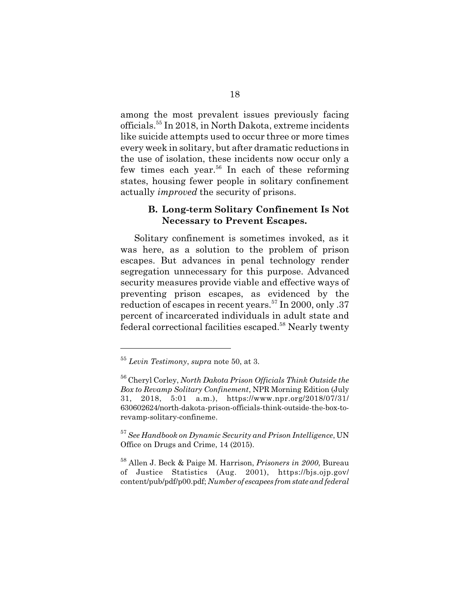among the most prevalent issues previously facing officials.<sup>55</sup> In 2018, in North Dakota, extreme incidents like suicide attempts used to occur three or more times every week in solitary, but after dramatic reductions in the use of isolation, these incidents now occur only a few times each year.<sup>56</sup> In each of these reforming states, housing fewer people in solitary confinement actually *improved* the security of prisons.

## **B. Long-term Solitary Confinement Is Not Necessary to Prevent Escapes.**

Solitary confinement is sometimes invoked, as it was here, as a solution to the problem of prison escapes. But advances in penal technology render segregation unnecessary for this purpose. Advanced security measures provide viable and effective ways of preventing prison escapes, as evidenced by the reduction of escapes in recent years.<sup>57</sup> In 2000, only .37 percent of incarcerated individuals in adult state and federal correctional facilities escaped.<sup>58</sup> Nearly twenty

<sup>57</sup> *See Handbook on Dynamic Security and Prison Intelligence*, UN Office on Drugs and Crime, 14 (2015).

<sup>58</sup> Allen J. Beck & Paige M. Harrison, *Prisoners in 2000*, Bureau of Justice Statistics (Aug. 2001), https://bjs.ojp.gov/ content/pub/pdf/p00.pdf; *Number of escapees from state and federal*

<sup>55</sup> *Levin Testimony*, *supra* note 50, at 3.

<sup>56</sup> Cheryl Corley, *North Dakota Prison Officials Think Outside the Box to Revamp Solitary Confinement*, NPR Morning Edition (July 31, 2018, 5:01 a.m.), https://www.npr.org/2018/07/31/ 630602624/north-dakota-prison-officials-think-outside-the-box-torevamp-solitary-confineme.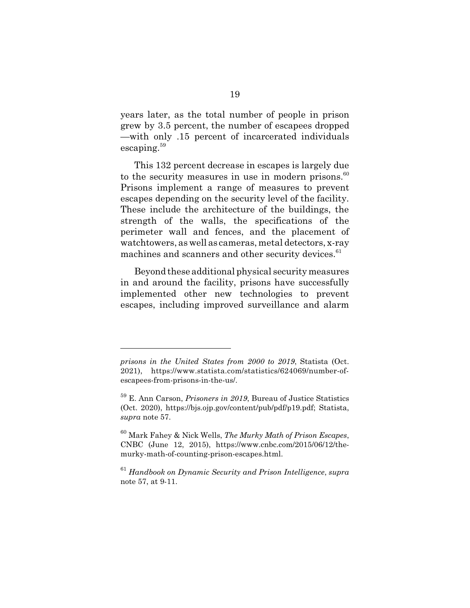years later, as the total number of people in prison grew by 3.5 percent, the number of escapees dropped —with only .15 percent of incarcerated individuals escaping.<sup>59</sup>

This 132 percent decrease in escapes is largely due to the security measures in use in modern prisons. $60$ Prisons implement a range of measures to prevent escapes depending on the security level of the facility. These include the architecture of the buildings, the strength of the walls, the specifications of the perimeter wall and fences, and the placement of watchtowers, as well as cameras, metal detectors, x-ray machines and scanners and other security devices.<sup>61</sup>

Beyond these additional physical security measures in and around the facility, prisons have successfully implemented other new technologies to prevent escapes, including improved surveillance and alarm

*prisons in the United States from 2000 to 2019*, Statista (Oct. 2021), https://www.statista.com/statistics/624069/number-ofescapees-from-prisons-in-the-us/.

<sup>59</sup> E. Ann Carson, *Prisoners in 2019*, Bureau of Justice Statistics (Oct. 2020), https://bjs.ojp.gov/content/pub/pdf/p19.pdf; Statista, *supra* note 57.

<sup>60</sup> Mark Fahey & Nick Wells, *The Murky Math of Prison Escapes*, CNBC (June 12, 2015), https://www.cnbc.com/2015/06/12/themurky-math-of-counting-prison-escapes.html.

<sup>61</sup> *Handbook on Dynamic Security and Prison Intelligence*, *supra* note 57, at 9-11.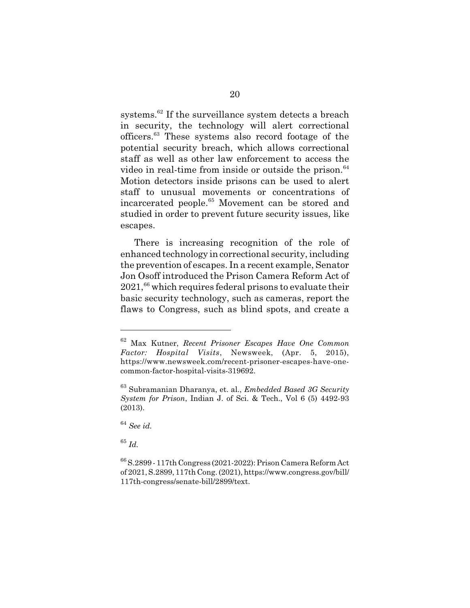systems.<sup>62</sup> If the surveillance system detects a breach in security, the technology will alert correctional officers.<sup>63</sup> These systems also record footage of the potential security breach, which allows correctional staff as well as other law enforcement to access the video in real-time from inside or outside the prison. $64$ Motion detectors inside prisons can be used to alert staff to unusual movements or concentrations of incarcerated people.<sup>65</sup> Movement can be stored and studied in order to prevent future security issues, like escapes.

There is increasing recognition of the role of enhanced technology in correctional security, including the prevention of escapes. In a recent example, Senator Jon Osoff introduced the Prison Camera Reform Act of  $2021$ ,  $^{66}$  which requires federal prisons to evaluate their basic security technology, such as cameras, report the flaws to Congress, such as blind spots, and create a

<sup>65</sup> *Id.*

<sup>62</sup> Max Kutner, *Recent Prisoner Escapes Have One Common Factor: Hospital Visits*, Newsweek, (Apr. 5, 2015), https://www.newsweek.com/recent-prisoner-escapes-have-onecommon-factor-hospital-visits-319692.

<sup>63</sup> Subramanian Dharanya, et. al., *Embedded Based 3G Security System for Prison*, Indian J. of Sci. & Tech., Vol 6 (5) 4492-93 (2013).

<sup>64</sup> *See id.*

<sup>66</sup> S.2899 - 117th Congress (2021-2022): Prison Camera Reform Act of 2021, S.2899, 117th Cong. (2021), https://www.congress.gov/bill/ 117th-congress/senate-bill/2899/text.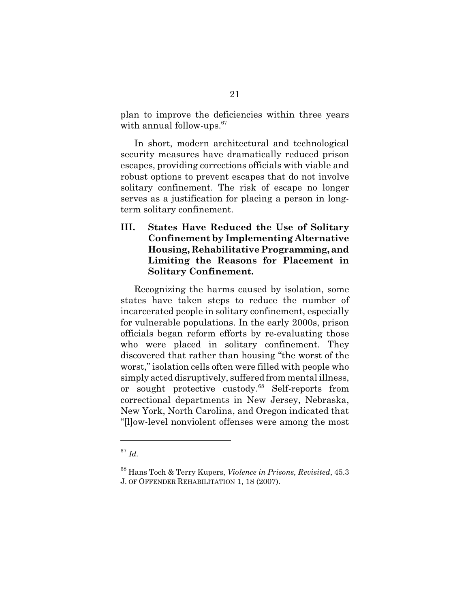plan to improve the deficiencies within three years with annual follow-ups.<sup>67</sup>

In short, modern architectural and technological security measures have dramatically reduced prison escapes, providing corrections officials with viable and robust options to prevent escapes that do not involve solitary confinement. The risk of escape no longer serves as a justification for placing a person in longterm solitary confinement.

**III. States Have Reduced the Use of Solitary Confinement by Implementing Alternative Housing, Rehabilitative Programming, and Limiting the Reasons for Placement in Solitary Confinement.**

Recognizing the harms caused by isolation, some states have taken steps to reduce the number of incarcerated people in solitary confinement, especially for vulnerable populations. In the early 2000s, prison officials began reform efforts by re-evaluating those who were placed in solitary confinement. They discovered that rather than housing "the worst of the worst," isolation cells often were filled with people who simply acted disruptively, suffered from mental illness, or sought protective custody.<sup>68</sup> Self-reports from correctional departments in New Jersey, Nebraska, New York, North Carolina, and Oregon indicated that "[l]ow-level nonviolent offenses were among the most

<sup>67</sup> *Id.*

<sup>68</sup> Hans Toch & Terry Kupers, *Violence in Prisons, Revisited*, 45.3 J. OF OFFENDER REHABILITATION 1, 18 (2007).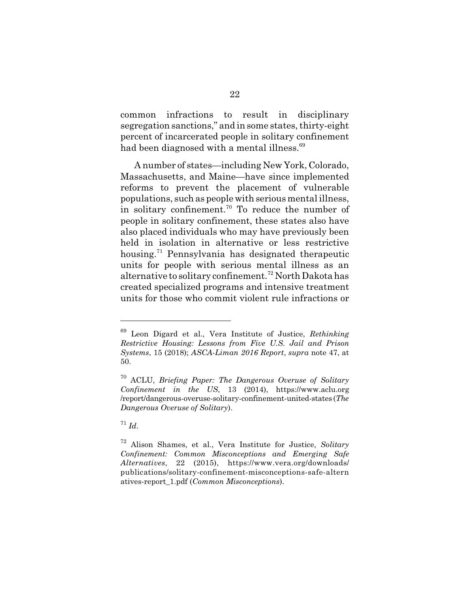common infractions to result in disciplinary segregation sanctions," and in some states, thirty-eight percent of incarcerated people in solitary confinement had been diagnosed with a mental illness.<sup>69</sup>

A number of states—including New York, Colorado, Massachusetts, and Maine—have since implemented reforms to prevent the placement of vulnerable populations, such as people with serious mental illness, in solitary confinement.<sup>70</sup> To reduce the number of people in solitary confinement, these states also have also placed individuals who may have previously been held in isolation in alternative or less restrictive housing.<sup>71</sup> Pennsylvania has designated therapeutic units for people with serious mental illness as an alternative to solitary confinement.<sup>72</sup> North Dakota has created specialized programs and intensive treatment units for those who commit violent rule infractions or

<sup>69</sup> Leon Digard et al., Vera Institute of Justice, *Rethinking Restrictive Housing: Lessons from Five U.S. Jail and Prison Systems*, 15 (2018); *ASCA-Liman 2016 Report*, *supra* note 47, at 50.

<sup>70</sup> ACLU, *Briefing Paper: The Dangerous Overuse of Solitary Confinement in the US*, 13 (2014), https://www.aclu.org /report/dangerous-overuse-solitary-confinement-united-states (*The Dangerous Overuse of Solitary*).

 $^{71}$  *Id.* 

<sup>72</sup> Alison Shames, et al., Vera Institute for Justice, *Solitary Confinement: Common Misconceptions and Emerging Safe Alternatives*, 22 (2015), https://www.vera.org/downloads/ publications/solitary-confinement-misconceptions-safe-altern atives-report\_1.pdf (*Common Misconceptions*).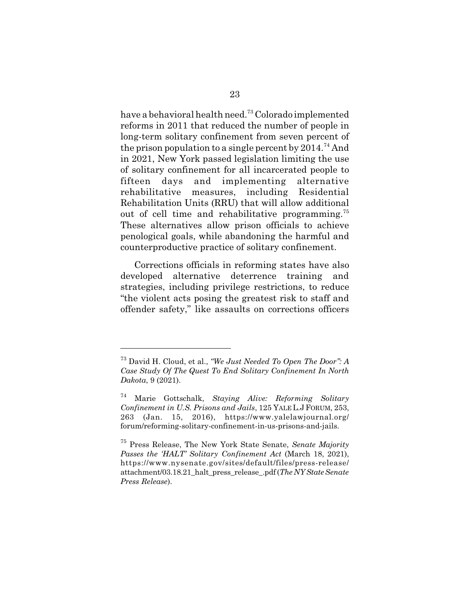have a behavioral health need.<sup>73</sup> Colorado implemented reforms in 2011 that reduced the number of people in long-term solitary confinement from seven percent of the prison population to a single percent by  $2014<sup>74</sup>$  And in 2021, New York passed legislation limiting the use of solitary confinement for all incarcerated people to fifteen days and implementing alternative rehabilitative measures, including Residential Rehabilitation Units (RRU) that will allow additional out of cell time and rehabilitative programming.<sup>75</sup> These alternatives allow prison officials to achieve penological goals, while abandoning the harmful and counterproductive practice of solitary confinement.

Corrections officials in reforming states have also developed alternative deterrence training and strategies, including privilege restrictions, to reduce "the violent acts posing the greatest risk to staff and offender safety," like assaults on corrections officers

<sup>73</sup> David H. Cloud, et al., *"We Just Needed To Open The Door": A Case Study Of The Quest To End Solitary Confinement In North Dakota*, 9 (2021).

<sup>74</sup> Marie Gottschalk, *Staying Alive: Reforming Solitary Confinement in U.S. Prisons and Jails*, 125 YALE L.JFORUM, 253, 263 (Jan. 15, 2016), https://www.yalelawjournal.org/ forum/reforming-solitary-confinement-in-us-prisons-and-jails.

<sup>75</sup> Press Release, The New York State Senate, *Senate Majority Passes the 'HALT' Solitary Confinement Act* (March 18, 2021), https://www.nysenate.gov/sites/default/files/press-release/ attachment/03.18.21\_halt\_press\_release\_.pdf (*The NY State Senate Press Release*).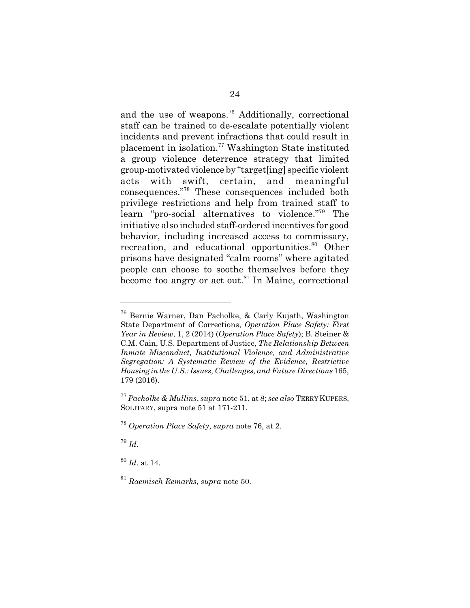and the use of weapons.<sup>76</sup> Additionally, correctional staff can be trained to de-escalate potentially violent incidents and prevent infractions that could result in placement in isolation.<sup>77</sup> Washington State instituted a group violence deterrence strategy that limited group-motivated violence by "target[ing] specific violent acts with swift, certain, and meaningful consequences."<sup>78</sup> These consequences included both privilege restrictions and help from trained staff to learn "pro-social alternatives to violence."<sup>79</sup> The initiative also included staff-ordered incentives for good behavior, including increased access to commissary, recreation, and educational opportunities.<sup>80</sup> Other prisons have designated "calm rooms" where agitated people can choose to soothe themselves before they become too angry or act out.<sup>81</sup> In Maine, correctional

<sup>79</sup> *Id*.

<sup>80</sup> *Id*. at 14.

<sup>76</sup> Bernie Warner, Dan Pacholke, & Carly Kujath, Washington State Department of Corrections, *Operation Place Safety: First Year in Review*, 1, 2 (2014) (*Operation Place Safety*); B. Steiner & C.M. Cain, U.S. Department of Justice, *The Relationship Between Inmate Misconduct, Institutional Violence, and Administrative Segregation: A Systematic Review of the Evidence, Restrictive Housing in the U.S.: Issues, Challenges, and Future Directions* 165, 179 (2016).

<sup>77</sup> *Pacholke & Mullins*, *supra* note 51, at 8; *see also* TERRY KUPERS, SOLITARY, supra note 51 at 171-211.

<sup>78</sup> *Operation Place Safety*, *supra* note 76, at 2.

<sup>81</sup> *Raemisch Remarks*, *supra* note 50.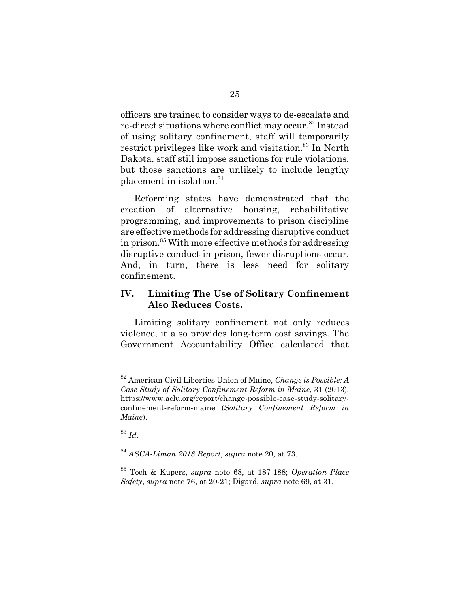officers are trained to consider ways to de-escalate and re-direct situations where conflict may occur.<sup>82</sup> Instead of using solitary confinement, staff will temporarily restrict privileges like work and visitation.<sup>83</sup> In North Dakota, staff still impose sanctions for rule violations, but those sanctions are unlikely to include lengthy placement in isolation.<sup>84</sup>

Reforming states have demonstrated that the creation of alternative housing, rehabilitative programming, and improvements to prison discipline are effective methods for addressing disruptive conduct in prison.<sup>85</sup> With more effective methods for addressing disruptive conduct in prison, fewer disruptions occur. And, in turn, there is less need for solitary confinement.

## **IV. Limiting The Use of Solitary Confinement Also Reduces Costs.**

Limiting solitary confinement not only reduces violence, it also provides long-term cost savings. The Government Accountability Office calculated that

<sup>82</sup> American Civil Liberties Union of Maine, *Change is Possible: A Case Study of Solitary Confinement Reform in Maine*, 31 (2013), https://www.aclu.org/report/change-possible-case-study-solitaryconfinement-reform-maine (*Solitary Confinement Reform in Maine*).

<sup>83</sup> *Id*.

<sup>84</sup> *ASCA-Liman 2018 Report*, *supra* note 20, at 73.

<sup>85</sup> Toch & Kupers, *supra* note 68, at 187-188; *Operation Place Safety*, *supra* note 76, at 20-21; Digard, *supra* note 69, at 31.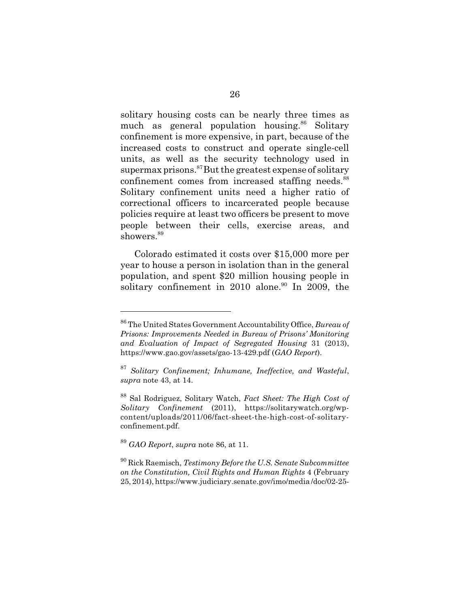solitary housing costs can be nearly three times as much as general population housing.<sup>86</sup> Solitary confinement is more expensive, in part, because of the increased costs to construct and operate single-cell units, as well as the security technology used in supermax prisons.<sup>87</sup>But the greatest expense of solitary confinement comes from increased staffing needs.<sup>88</sup> Solitary confinement units need a higher ratio of correctional officers to incarcerated people because policies require at least two officers be present to move people between their cells, exercise areas, and showers.<sup>89</sup>

Colorado estimated it costs over \$15,000 more per year to house a person in isolation than in the general population, and spent \$20 million housing people in solitary confinement in 2010 alone.<sup>90</sup> In 2009, the

<sup>86</sup> The United States Government Accountability Office, *Bureau of Prisons: Improvements Needed in Bureau of Prisons' Monitoring and Evaluation of Impact of Segregated Housing* 31 (2013), https://www.gao.gov/assets/gao-13-429.pdf (*GAO Report*).

<sup>87</sup> *Solitary Confinement; Inhumane, Ineffective, and Wasteful*, *supra* note 43, at 14.

<sup>88</sup> Sal Rodriguez, Solitary Watch, *Fact Sheet: The High Cost of Solitary Confinement* (2011), https://solitarywatch.org/wpcontent/uploads/2011/06/fact-sheet-the-high-cost-of-solitaryconfinement.pdf.

<sup>89</sup> *GAO Report*, *supra* note 86, at 11.

<sup>90</sup> Rick Raemisch, *Testimony Before the U.S. Senate Subcommittee on the Constitution, Civil Rights and Human Rights* 4 (February 25, 2014), https://www.judiciary.senate.gov/imo/media /doc/02-25-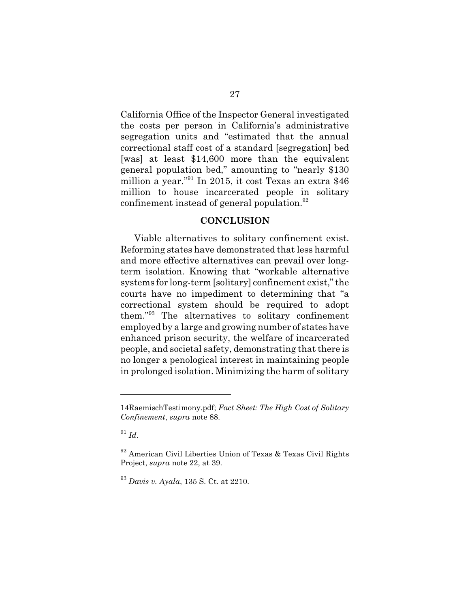California Office of the Inspector General investigated the costs per person in California's administrative segregation units and "estimated that the annual correctional staff cost of a standard [segregation] bed [was] at least \$14,600 more than the equivalent general population bed," amounting to "nearly \$130 million a year."<sup>91</sup> In 2015, it cost Texas an extra \$46 million to house incarcerated people in solitary confinement instead of general population.<sup>92</sup>

#### **CONCLUSION**

Viable alternatives to solitary confinement exist. Reforming states have demonstrated that less harmful and more effective alternatives can prevail over longterm isolation. Knowing that "workable alternative systems for long-term [solitary] confinement exist," the courts have no impediment to determining that "a correctional system should be required to adopt them."<sup>93</sup> The alternatives to solitary confinement employed by a large and growing number of states have enhanced prison security, the welfare of incarcerated people, and societal safety, demonstrating that there is no longer a penological interest in maintaining people in prolonged isolation. Minimizing the harm of solitary

 $91$  *Id.* 

<sup>14</sup>RaemischTestimony.pdf; *Fact Sheet: The High Cost of Solitary Confinement*, *supra* note 88.

<sup>92</sup> American Civil Liberties Union of Texas & Texas Civil Rights Project, *supra* note 22, at 39.

<sup>93</sup> *Davis v. Ayala*, 135 S. Ct. at 2210.